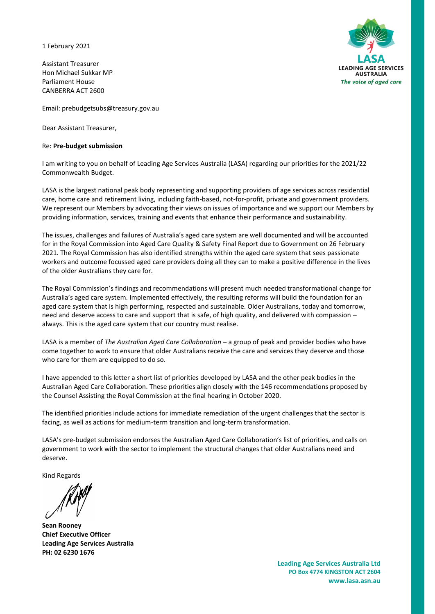1 February 2021

Assistant Treasurer Hon Michael Sukkar MP Parliament House CANBERRA ACT 2600



Email: [prebudgetsubs@treasury.gov.au](mailto:prebudgetsubs@treasury.gov.au)

Dear Assistant Treasurer,

## Re: **Pre-budget submission**

I am writing to you on behalf of Leading Age Services Australia (LASA) regarding our priorities for the 2021/22 Commonwealth Budget.

LASA is the largest national peak body representing and supporting providers of age services across residential care, home care and retirement living, including faith-based, not-for-profit, private and government providers. We represent our Members by advocating their views on issues of importance and we support our Members by providing information, services, training and events that enhance their performance and sustainability.

The issues, challenges and failures of Australia's aged care system are well documented and will be accounted for in the Royal Commission into Aged Care Quality & Safety Final Report due to Government on 26 February 2021. The Royal Commission has also identified strengths within the aged care system that sees passionate workers and outcome focussed aged care providers doing all they can to make a positive difference in the lives of the older Australians they care for.

The Royal Commission's findings and recommendations will present much needed transformational change for Australia's aged care system. Implemented effectively, the resulting reforms will build the foundation for an aged care system that is high performing, respected and sustainable. Older Australians, today and tomorrow, need and deserve access to care and support that is safe, of high quality, and delivered with compassion – always. This is the aged care system that our country must realise.

LASA is a member of *The Australian Aged Care Collaboration* – a group of peak and provider bodies who have come together to work to ensure that older Australians receive the care and services they deserve and those who care for them are equipped to do so.

I have appended to this letter a short list of priorities developed by LASA and the other peak bodies in the Australian Aged Care Collaboration. These priorities align closely with the 146 recommendations proposed by the Counsel Assisting the Royal Commission at the final hearing in October 2020.

The identified priorities include actions for immediate remediation of the urgent challenges that the sector is facing, as well as actions for medium-term transition and long-term transformation.

LASA's pre-budget submission endorses the Australian Aged Care Collaboration's list of priorities, and calls on government to work with the sector to implement the structural changes that older Australians need and deserve.

Kind Regards

**Sean Rooney Chief Executive Officer Leading Age Services Australia PH: 02 6230 1676**

**Leading Age Services Australia Ltd PO Box 4774 KINGSTON ACT 2604 www.lasa.asn.au**